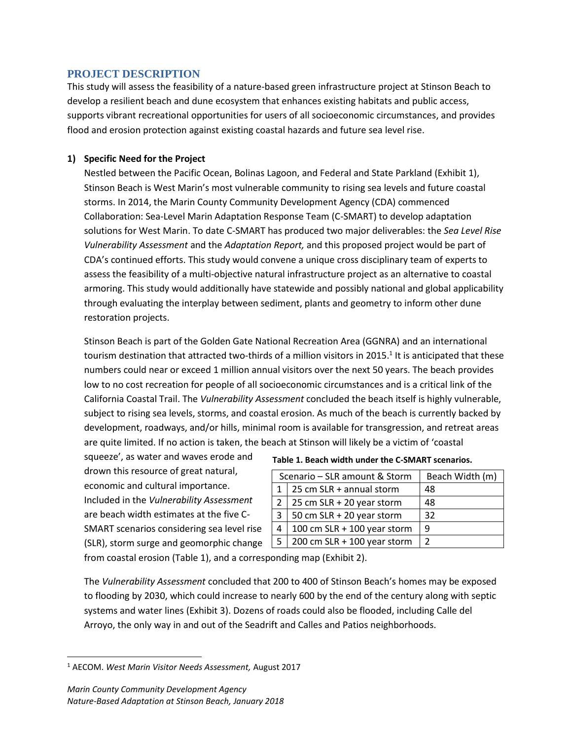## **PROJECT DESCRIPTION**

This study will assess the feasibility of a nature-based green infrastructure project at Stinson Beach to develop a resilient beach and dune ecosystem that enhances existing habitats and public access, supports vibrant recreational opportunities for users of all socioeconomic circumstances, and provides flood and erosion protection against existing coastal hazards and future sea level rise.

## **1) Specific Need for the Project**

Nestled between the Pacific Ocean, Bolinas Lagoon, and Federal and State Parkland (Exhibit 1), Stinson Beach is West Marin's most vulnerable community to rising sea levels and future coastal storms. In 2014, the Marin County Community Development Agency (CDA) commenced Collaboration: Sea-Level Marin Adaptation Response Team (C-SMART) to develop adaptation solutions for West Marin. To date C-SMART has produced two major deliverables: the *Sea Level Rise Vulnerability Assessment* and the *Adaptation Report,* and this proposed project would be part of CDA's continued efforts. This study would convene a unique cross disciplinary team of experts to assess the feasibility of a multi-objective natural infrastructure project as an alternative to coastal armoring. This study would additionally have statewide and possibly national and global applicability through evaluating the interplay between sediment, plants and geometry to inform other dune restoration projects.

Stinson Beach is part of the Golden Gate National Recreation Area (GGNRA) and an international tourism destination that attracted two-thirds of a million visitors in 2015.<sup>1</sup> It is anticipated that these numbers could near or exceed 1 million annual visitors over the next 50 years. The beach provides low to no cost recreation for people of all socioeconomic circumstances and is a critical link of the California Coastal Trail. The *Vulnerability Assessment* concluded the beach itself is highly vulnerable, subject to rising sea levels, storms, and coastal erosion. As much of the beach is currently backed by development, roadways, and/or hills, minimal room is available for transgression, and retreat areas are quite limited. If no action is taken, the beach at Stinson will likely be a victim of 'coastal

squeeze', as water and waves erode and drown this resource of great natural, economic and cultural importance. Included in the *Vulnerability Assessment* are beach width estimates at the five C-SMART scenarios considering sea level rise (SLR), storm surge and geomorphic change

#### **Table 1. Beach width under the C-SMART scenarios.**

| Scenario - SLR amount & Storm |                               | Beach Width (m) |
|-------------------------------|-------------------------------|-----------------|
|                               | 25 cm SLR + annual storm      | 48              |
|                               | 25 cm SLR + 20 year storm     | 48              |
| 3                             | 50 cm $SLR + 20$ year storm   | 32              |
| 4                             | 100 cm $SLR + 100$ year storm | 9               |
|                               | 200 cm $SLR + 100$ year storm | 2               |

from coastal erosion (Table 1), and a corresponding map (Exhibit 2).

The *Vulnerability Assessment* concluded that 200 to 400 of Stinson Beach's homes may be exposed to flooding by 2030, which could increase to nearly 600 by the end of the century along with septic systems and water lines (Exhibit 3). Dozens of roads could also be flooded, including Calle del Arroyo, the only way in and out of the Seadrift and Calles and Patios neighborhoods.

 $\overline{a}$ 

<sup>1</sup> AECOM. *West Marin Visitor Needs Assessment,* August 2017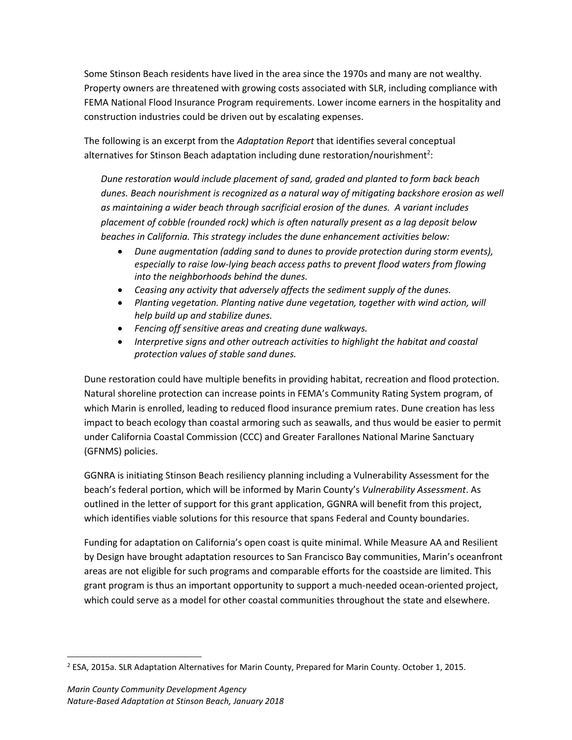Some Stinson Beach residents have lived in the area since the 1970s and many are not wealthy. Property owners are threatened with growing costs associated with SLR, including compliance with FEMA National Flood Insurance Program requirements. Lower income earners in the hospitality and construction industries could be driven out by escalating expenses.

The following is an excerpt from the *Adaptation Report* that identifies several conceptual alternatives for Stinson Beach adaptation including dune restoration/nourishment<sup>2</sup>:

*Dune restoration would include placement of sand, graded and planted to form back beach dunes. Beach nourishment is recognized as a natural way of mitigating backshore erosion as well as maintaining a wider beach through sacrificial erosion of the dunes. A variant includes placement of cobble (rounded rock) which is often naturally present as a lag deposit below beaches in California. This strategy includes the dune enhancement activities below:*

- *Dune augmentation (adding sand to dunes to provide protection during storm events), especially to raise low-lying beach access paths to prevent flood waters from flowing into the neighborhoods behind the dunes.*
- *Ceasing any activity that adversely affects the sediment supply of the dunes.*
- *Planting vegetation. Planting native dune vegetation, together with wind action, will help build up and stabilize dunes.*
- *Fencing off sensitive areas and creating dune walkways.*
- *Interpretive signs and other outreach activities to highlight the habitat and coastal protection values of stable sand dunes.*

Dune restoration could have multiple benefits in providing habitat, recreation and flood protection. Natural shoreline protection can increase points in FEMA's Community Rating System program, of which Marin is enrolled, leading to reduced flood insurance premium rates. Dune creation has less impact to beach ecology than coastal armoring such as seawalls, and thus would be easier to permit under California Coastal Commission (CCC) and Greater Farallones National Marine Sanctuary (GFNMS) policies.

GGNRA is initiating Stinson Beach resiliency planning including a Vulnerability Assessment for the beach's federal portion, which will be informed by Marin County's *Vulnerability Assessment*. As outlined in the letter of support for this grant application, GGNRA will benefit from this project, which identifies viable solutions for this resource that spans Federal and County boundaries.

Funding for adaptation on California's open coast is quite minimal. While Measure AA and Resilient by Design have brought adaptation resources to San Francisco Bay communities, Marin's oceanfront areas are not eligible for such programs and comparable efforts for the coastside are limited. This grant program is thus an important opportunity to support a much-needed ocean-oriented project, which could serve as a model for other coastal communities throughout the state and elsewhere.

 $\overline{a}$ 

<sup>2</sup> ESA, 2015a. SLR Adaptation Alternatives for Marin County, Prepared for Marin County. October 1, 2015.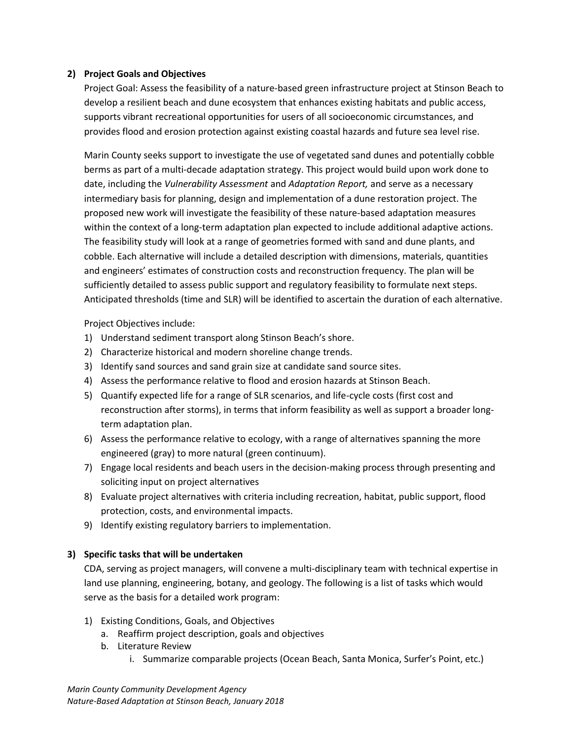### **2) Project Goals and Objectives**

Project Goal: Assess the feasibility of a nature-based green infrastructure project at Stinson Beach to develop a resilient beach and dune ecosystem that enhances existing habitats and public access, supports vibrant recreational opportunities for users of all socioeconomic circumstances, and provides flood and erosion protection against existing coastal hazards and future sea level rise.

Marin County seeks support to investigate the use of vegetated sand dunes and potentially cobble berms as part of a multi-decade adaptation strategy. This project would build upon work done to date, including the *Vulnerability Assessment* and *Adaptation Report,* and serve as a necessary intermediary basis for planning, design and implementation of a dune restoration project. The proposed new work will investigate the feasibility of these nature-based adaptation measures within the context of a long-term adaptation plan expected to include additional adaptive actions. The feasibility study will look at a range of geometries formed with sand and dune plants, and cobble. Each alternative will include a detailed description with dimensions, materials, quantities and engineers' estimates of construction costs and reconstruction frequency. The plan will be sufficiently detailed to assess public support and regulatory feasibility to formulate next steps. Anticipated thresholds (time and SLR) will be identified to ascertain the duration of each alternative.

Project Objectives include:

- 1) Understand sediment transport along Stinson Beach's shore.
- 2) Characterize historical and modern shoreline change trends.
- 3) Identify sand sources and sand grain size at candidate sand source sites.
- 4) Assess the performance relative to flood and erosion hazards at Stinson Beach.
- 5) Quantify expected life for a range of SLR scenarios, and life-cycle costs (first cost and reconstruction after storms), in terms that inform feasibility as well as support a broader longterm adaptation plan.
- 6) Assess the performance relative to ecology, with a range of alternatives spanning the more engineered (gray) to more natural (green continuum).
- 7) Engage local residents and beach users in the decision-making process through presenting and soliciting input on project alternatives
- 8) Evaluate project alternatives with criteria including recreation, habitat, public support, flood protection, costs, and environmental impacts.
- 9) Identify existing regulatory barriers to implementation.

# **3) Specific tasks that will be undertaken**

CDA, serving as project managers, will convene a multi-disciplinary team with technical expertise in land use planning, engineering, botany, and geology. The following is a list of tasks which would serve as the basis for a detailed work program:

- 1) Existing Conditions, Goals, and Objectives
	- a. Reaffirm project description, goals and objectives
	- b. Literature Review
		- i. Summarize comparable projects (Ocean Beach, Santa Monica, Surfer's Point, etc.)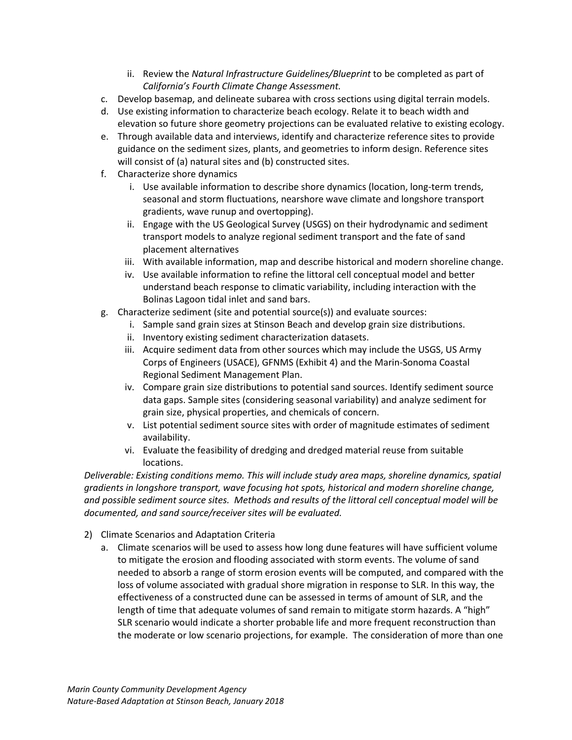- ii. Review the *Natural Infrastructure Guidelines/Blueprint* to be completed as part of *California's Fourth Climate Change Assessment.*
- c. Develop basemap, and delineate subarea with cross sections using digital terrain models.
- d. Use existing information to characterize beach ecology. Relate it to beach width and elevation so future shore geometry projections can be evaluated relative to existing ecology.
- e. Through available data and interviews, identify and characterize reference sites to provide guidance on the sediment sizes, plants, and geometries to inform design. Reference sites will consist of (a) natural sites and (b) constructed sites.
- f. Characterize shore dynamics
	- i. Use available information to describe shore dynamics (location, long-term trends, seasonal and storm fluctuations, nearshore wave climate and longshore transport gradients, wave runup and overtopping).
	- ii. Engage with the US Geological Survey (USGS) on their hydrodynamic and sediment transport models to analyze regional sediment transport and the fate of sand placement alternatives
	- iii. With available information, map and describe historical and modern shoreline change.
	- iv. Use available information to refine the littoral cell conceptual model and better understand beach response to climatic variability, including interaction with the Bolinas Lagoon tidal inlet and sand bars.
- g. Characterize sediment (site and potential source(s)) and evaluate sources:
	- i. Sample sand grain sizes at Stinson Beach and develop grain size distributions.
	- ii. Inventory existing sediment characterization datasets.
	- iii. Acquire sediment data from other sources which may include the USGS, US Army Corps of Engineers (USACE), GFNMS (Exhibit 4) and the Marin-Sonoma Coastal Regional Sediment Management Plan.
	- iv. Compare grain size distributions to potential sand sources. Identify sediment source data gaps. Sample sites (considering seasonal variability) and analyze sediment for grain size, physical properties, and chemicals of concern.
	- v. List potential sediment source sites with order of magnitude estimates of sediment availability.
	- vi. Evaluate the feasibility of dredging and dredged material reuse from suitable locations.

*Deliverable: Existing conditions memo. This will include study area maps, shoreline dynamics, spatial gradients in longshore transport, wave focusing hot spots, historical and modern shoreline change, and possible sediment source sites. Methods and results of the littoral cell conceptual model will be documented, and sand source/receiver sites will be evaluated.* 

- 2) Climate Scenarios and Adaptation Criteria
	- a. Climate scenarios will be used to assess how long dune features will have sufficient volume to mitigate the erosion and flooding associated with storm events. The volume of sand needed to absorb a range of storm erosion events will be computed, and compared with the loss of volume associated with gradual shore migration in response to SLR. In this way, the effectiveness of a constructed dune can be assessed in terms of amount of SLR, and the length of time that adequate volumes of sand remain to mitigate storm hazards. A "high" SLR scenario would indicate a shorter probable life and more frequent reconstruction than the moderate or low scenario projections, for example. The consideration of more than one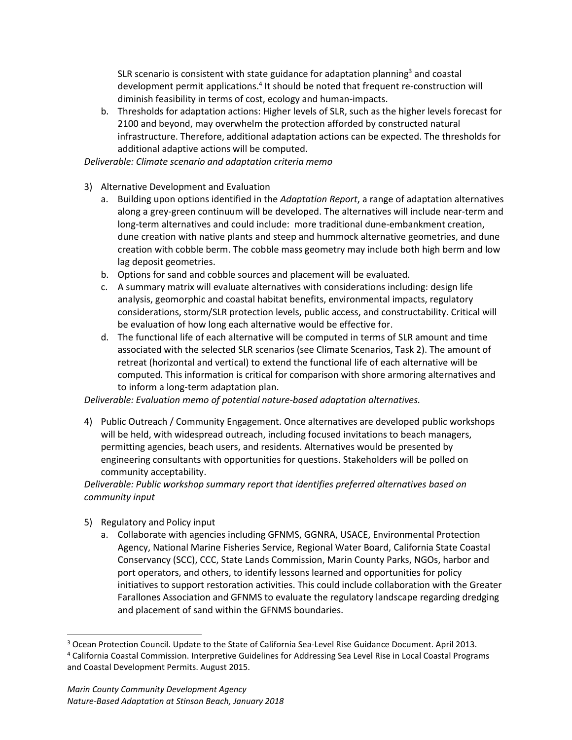SLR scenario is consistent with state guidance for adaptation planning<sup>3</sup> and coastal development permit applications.<sup>4</sup> It should be noted that frequent re-construction will diminish feasibility in terms of cost, ecology and human-impacts.

b. Thresholds for adaptation actions: Higher levels of SLR, such as the higher levels forecast for 2100 and beyond, may overwhelm the protection afforded by constructed natural infrastructure. Therefore, additional adaptation actions can be expected. The thresholds for additional adaptive actions will be computed.

*Deliverable: Climate scenario and adaptation criteria memo*

- 3) Alternative Development and Evaluation
	- a. Building upon options identified in the *Adaptation Report*, a range of adaptation alternatives along a grey-green continuum will be developed. The alternatives will include near-term and long-term alternatives and could include: more traditional dune-embankment creation, dune creation with native plants and steep and hummock alternative geometries, and dune creation with cobble berm. The cobble mass geometry may include both high berm and low lag deposit geometries.
	- b. Options for sand and cobble sources and placement will be evaluated.
	- c. A summary matrix will evaluate alternatives with considerations including: design life analysis, geomorphic and coastal habitat benefits, environmental impacts, regulatory considerations, storm/SLR protection levels, public access, and constructability. Critical will be evaluation of how long each alternative would be effective for.
	- d. The functional life of each alternative will be computed in terms of SLR amount and time associated with the selected SLR scenarios (see Climate Scenarios, Task 2). The amount of retreat (horizontal and vertical) to extend the functional life of each alternative will be computed. This information is critical for comparison with shore armoring alternatives and to inform a long-term adaptation plan.

*Deliverable: Evaluation memo of potential nature-based adaptation alternatives.* 

4) Public Outreach / Community Engagement. Once alternatives are developed public workshops will be held, with widespread outreach, including focused invitations to beach managers, permitting agencies, beach users, and residents. Alternatives would be presented by engineering consultants with opportunities for questions. Stakeholders will be polled on community acceptability.

*Deliverable: Public workshop summary report that identifies preferred alternatives based on community input*

5) Regulatory and Policy input

a. Collaborate with agencies including GFNMS, GGNRA, USACE, Environmental Protection Agency, National Marine Fisheries Service, Regional Water Board, California State Coastal Conservancy (SCC), CCC, State Lands Commission, Marin County Parks, NGOs, harbor and port operators, and others, to identify lessons learned and opportunities for policy initiatives to support restoration activities. This could include collaboration with the Greater Farallones Association and GFNMS to evaluate the regulatory landscape regarding dredging and placement of sand within the GFNMS boundaries.

<sup>3</sup> Ocean Protection Council. Update to the State of California Sea-Level Rise Guidance Document. April 2013. <sup>4</sup> California Coastal Commission. Interpretive Guidelines for Addressing Sea Level Rise in Local Coastal Programs and Coastal Development Permits. August 2015.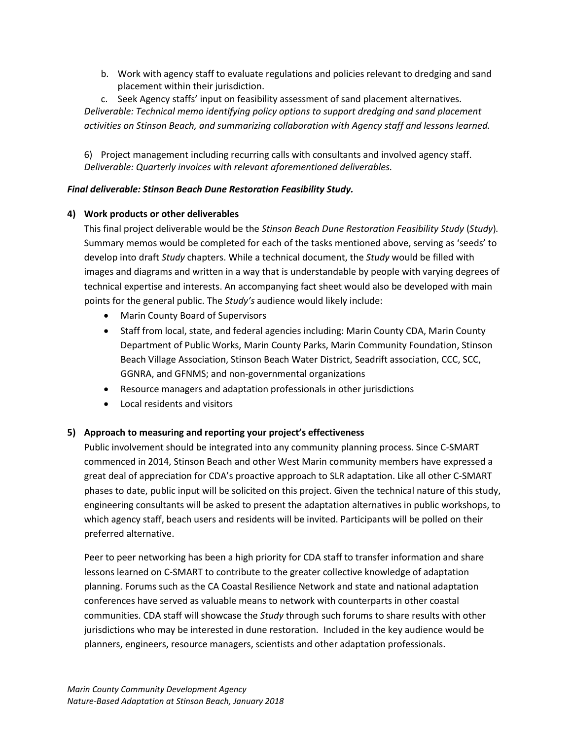b. Work with agency staff to evaluate regulations and policies relevant to dredging and sand placement within their jurisdiction.

c. Seek Agency staffs' input on feasibility assessment of sand placement alternatives. *Deliverable: Technical memo identifying policy options to support dredging and sand placement activities on Stinson Beach, and summarizing collaboration with Agency staff and lessons learned.*

6) Project management including recurring calls with consultants and involved agency staff. *Deliverable: Quarterly invoices with relevant aforementioned deliverables.* 

## *Final deliverable: Stinson Beach Dune Restoration Feasibility Study.*

# **4) Work products or other deliverables**

This final project deliverable would be the *Stinson Beach Dune Restoration Feasibility Study* (*Study*)*.*  Summary memos would be completed for each of the tasks mentioned above, serving as 'seeds' to develop into draft *Study* chapters. While a technical document, the *Study* would be filled with images and diagrams and written in a way that is understandable by people with varying degrees of technical expertise and interests. An accompanying fact sheet would also be developed with main points for the general public. The *Study's* audience would likely include:

- Marin County Board of Supervisors
- Staff from local, state, and federal agencies including: Marin County CDA, Marin County Department of Public Works, Marin County Parks, Marin Community Foundation, Stinson Beach Village Association, Stinson Beach Water District, Seadrift association, CCC, SCC, GGNRA, and GFNMS; and non-governmental organizations
- Resource managers and adaptation professionals in other jurisdictions
- Local residents and visitors

# **5) Approach to measuring and reporting your project's effectiveness**

Public involvement should be integrated into any community planning process. Since C-SMART commenced in 2014, Stinson Beach and other West Marin community members have expressed a great deal of appreciation for CDA's proactive approach to SLR adaptation. Like all other C-SMART phases to date, public input will be solicited on this project. Given the technical nature of this study, engineering consultants will be asked to present the adaptation alternatives in public workshops, to which agency staff, beach users and residents will be invited. Participants will be polled on their preferred alternative.

Peer to peer networking has been a high priority for CDA staff to transfer information and share lessons learned on C-SMART to contribute to the greater collective knowledge of adaptation planning. Forums such as the CA Coastal Resilience Network and state and national adaptation conferences have served as valuable means to network with counterparts in other coastal communities. CDA staff will showcase the *Study* through such forums to share results with other jurisdictions who may be interested in dune restoration. Included in the key audience would be planners, engineers, resource managers, scientists and other adaptation professionals.